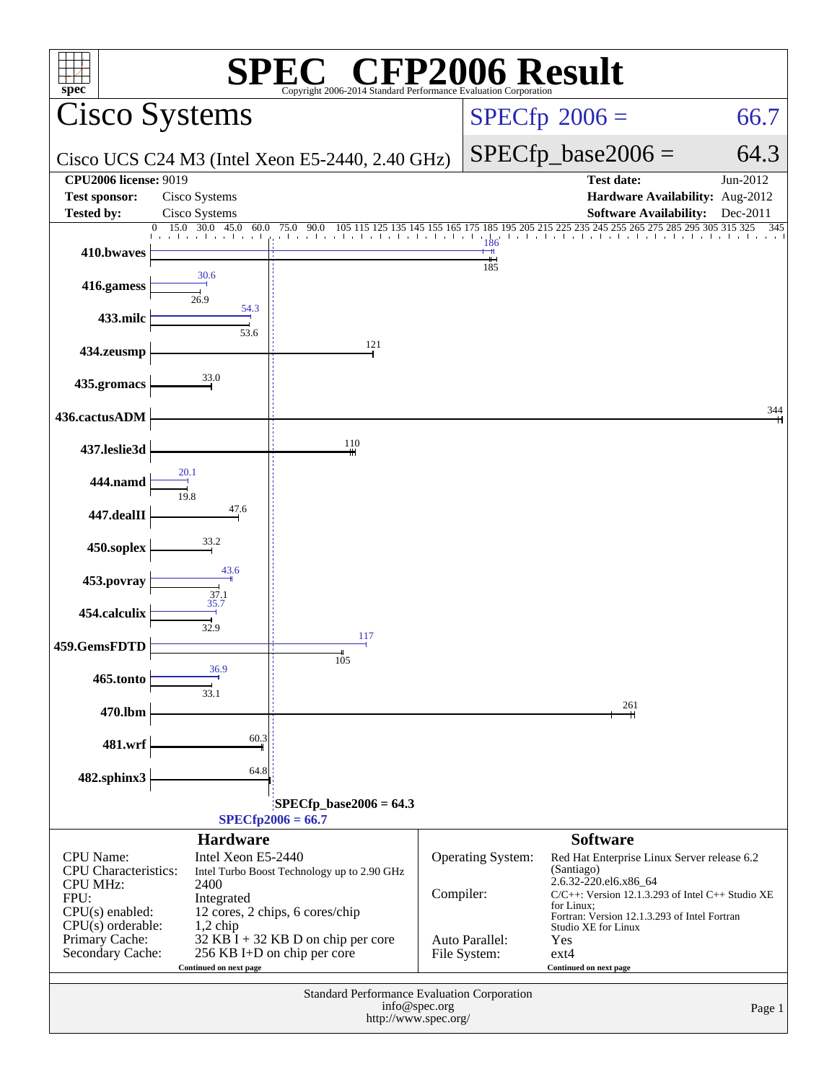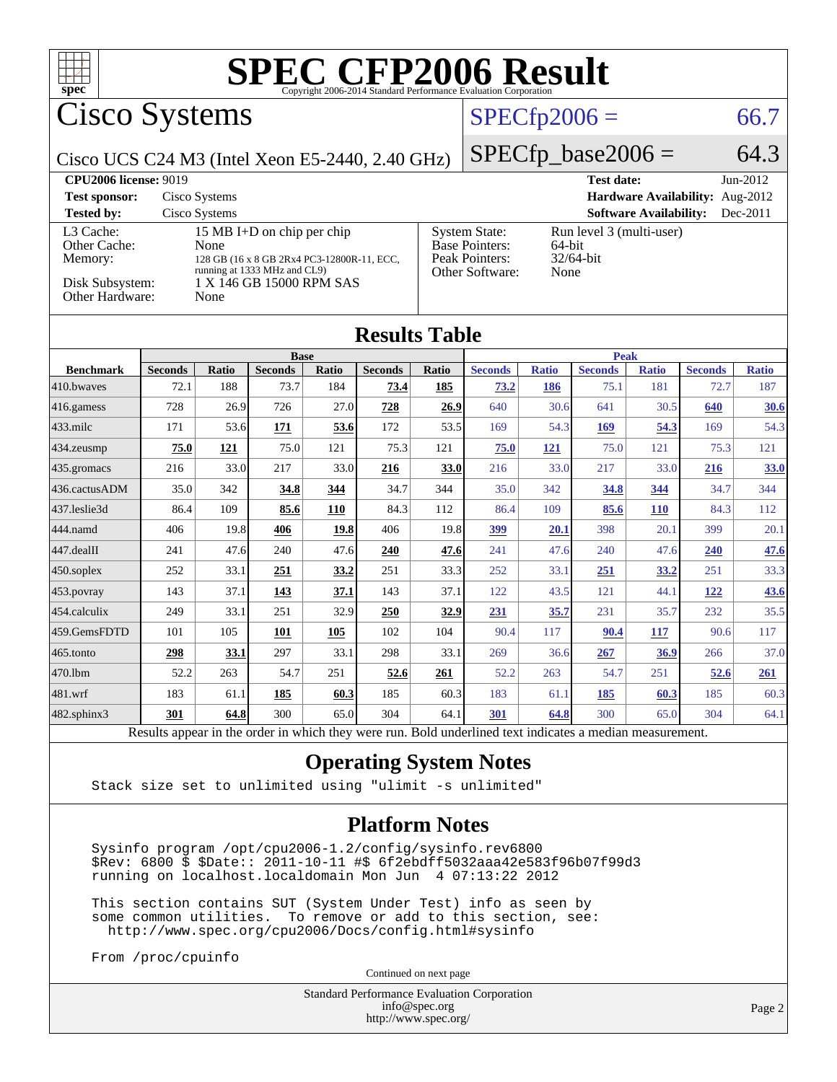| $spec^*$                                                                   |                        |                                |                                                                                                                                      |              | <b>SPEC CFP2006 Result</b><br>Copyright 2006-2014 Standard Performance Evaluation Corporation |              |                                                                                    |                     |                                       |                               |                                 |                      |
|----------------------------------------------------------------------------|------------------------|--------------------------------|--------------------------------------------------------------------------------------------------------------------------------------|--------------|-----------------------------------------------------------------------------------------------|--------------|------------------------------------------------------------------------------------|---------------------|---------------------------------------|-------------------------------|---------------------------------|----------------------|
| <b>Cisco Systems</b>                                                       |                        |                                |                                                                                                                                      |              |                                                                                               |              |                                                                                    | $SPECfp2006 =$      |                                       |                               |                                 | 66.7                 |
| Cisco UCS C24 M3 (Intel Xeon E5-2440, 2.40 GHz)                            |                        |                                |                                                                                                                                      |              |                                                                                               |              |                                                                                    |                     | $SPECfp\_base2006 =$                  |                               |                                 | 64.3                 |
| <b>CPU2006 license: 9019</b><br><b>Test sponsor:</b><br><b>Tested by:</b>  |                        | Cisco Systems<br>Cisco Systems |                                                                                                                                      |              |                                                                                               |              |                                                                                    |                     | <b>Test date:</b>                     | <b>Software Availability:</b> | Hardware Availability: Aug-2012 | Jun-2012<br>Dec-2011 |
| L3 Cache:<br>Other Cache:<br>Memory:<br>Disk Subsystem:<br>Other Hardware: |                        | None<br>None                   | 15 MB I+D on chip per chip<br>128 GB (16 x 8 GB 2Rx4 PC3-12800R-11, ECC,<br>running at 1333 MHz and CL9)<br>1 X 146 GB 15000 RPM SAS |              |                                                                                               |              | <b>System State:</b><br><b>Base Pointers:</b><br>Peak Pointers:<br>Other Software: | 64-bit<br>None      | Run level 3 (multi-user)<br>32/64-bit |                               |                                 |                      |
|                                                                            |                        |                                |                                                                                                                                      |              | <b>Results Table</b>                                                                          |              |                                                                                    |                     |                                       |                               |                                 |                      |
|                                                                            | <b>Base</b>            |                                |                                                                                                                                      |              |                                                                                               |              | <b>Peak</b>                                                                        |                     |                                       |                               |                                 |                      |
| <b>Benchmark</b><br>410.bwayes                                             | <b>Seconds</b><br>72.1 | Ratio<br>188                   | <b>Seconds</b><br>73.7                                                                                                               | Ratio<br>184 | <b>Seconds</b><br>73.4                                                                        | Ratio<br>185 | <b>Seconds</b><br>73.2                                                             | <b>Ratio</b><br>186 | <b>Seconds</b><br>75.1                | <b>Ratio</b><br>181           | <b>Seconds</b><br>72.7          | <b>Ratio</b><br>187  |
| 416.gamess                                                                 | 728                    | 26.9                           | 726                                                                                                                                  | 27.0         | 728                                                                                           | 26.9         | 640                                                                                | 30.6                | 641                                   | 30.5                          | 640                             | <b>30.6</b>          |
| $433$ .milc                                                                | 171                    | 53.6                           | 171                                                                                                                                  | 53.6         | 172                                                                                           | 53.5         | 169                                                                                | 54.3                | 169                                   | 54.3                          | 169                             | 54.3                 |
| 434.zeusmp                                                                 | 75.0                   | 121                            | 75.0                                                                                                                                 | 121          | 75.3                                                                                          | 121          | 75.0                                                                               | 121                 | 75.0                                  | 121                           | 75.3                            | 121                  |
| 435.gromacs                                                                | 216                    | 33.0                           | 217                                                                                                                                  | 33.0         | 216                                                                                           | 33.0         | 216                                                                                | 33.0                | 217                                   | 33.0                          | 216                             | 33.0                 |
| 436.cactusADM                                                              | 35.0                   | 342                            | 34.8                                                                                                                                 | 344          | 34.7                                                                                          | 344          | 35.0                                                                               | 342                 | 34.8                                  | 344                           | 34.7                            | 344                  |
| 437.leslie3d                                                               | 86.4                   | 109                            | 85.6                                                                                                                                 | <b>110</b>   | 84.3                                                                                          | 112          | 86.4                                                                               | 109                 | 85.6                                  | <b>110</b>                    | 84.3                            | 112                  |
| 444.namd                                                                   | 406                    | 19.8                           | 406                                                                                                                                  | 19.8         | 406                                                                                           | 19.8         | 399                                                                                | 20.1                | 398                                   | 20.1                          | 399                             | 20.1                 |
| 447.dealII                                                                 | 241                    | 47.6                           | 240                                                                                                                                  | 47.6         | 240                                                                                           | 47.6         | 241                                                                                | 47.6                | 240                                   | 47.6                          | <b>240</b>                      | 47.6                 |
| 450.soplex                                                                 | 252                    | 33.1                           | 251                                                                                                                                  | 33.2         | 251                                                                                           | 33.3         | 252                                                                                | 33.1                | 251                                   | 33.2                          | 251                             | 33.3                 |
| 453.povray                                                                 | 143                    | 37.1                           | 143                                                                                                                                  | 37.1         | 143                                                                                           | 37.1         | 122                                                                                | 43.5                | 121                                   | 44.1                          | 122                             | 43.6                 |
| 454.calculix                                                               | 249                    | 33.1                           | 251                                                                                                                                  | 32.9         | 250                                                                                           | 32.9         | 231                                                                                | 35.7                | 231                                   | 35.7                          | 232                             | 35.5                 |
| 459.GemsFDTD                                                               | 101                    | 105                            | 101                                                                                                                                  | 105          | 102                                                                                           | 104          | 90.4                                                                               | 117                 | 90.4                                  | 117                           | 90.6                            | 117                  |
| 465.tonto                                                                  | 298                    | 33.1                           | 297                                                                                                                                  | 33.1         | 298                                                                                           | 33.1         | 269                                                                                | 36.6                | 267                                   | 36.9                          | 266                             | 37.0                 |
| 470.1bm                                                                    | 52.2                   | 263                            | 54.7                                                                                                                                 | 251          | 52.6                                                                                          | 261          | 52.2                                                                               | 263                 | 54.7                                  | 251                           | 52.6                            | <b>261</b>           |
| 481.wrf                                                                    | 183                    | 61.1                           | 185                                                                                                                                  | 60.3         | 185                                                                                           | 60.3         | 183                                                                                | 61.1                | 185                                   | 60.3                          | 185                             | 60.3                 |
| 482.sphinx3                                                                | 301                    | 64.8                           | 300                                                                                                                                  | 65.0         | 304                                                                                           | 64.1         | 301                                                                                | 64.8                | 300                                   | 65.0                          | 304                             | 64.1                 |

Results appear in the [order in which they were run.](http://www.spec.org/auto/cpu2006/Docs/result-fields.html#RunOrder) Bold underlined text [indicates a median measurement.](http://www.spec.org/auto/cpu2006/Docs/result-fields.html#Median)

#### **[Operating System Notes](http://www.spec.org/auto/cpu2006/Docs/result-fields.html#OperatingSystemNotes)**

Stack size set to unlimited using "ulimit -s unlimited"

#### **[Platform Notes](http://www.spec.org/auto/cpu2006/Docs/result-fields.html#PlatformNotes)**

 Sysinfo program /opt/cpu2006-1.2/config/sysinfo.rev6800 \$Rev: 6800 \$ \$Date:: 2011-10-11 #\$ 6f2ebdff5032aaa42e583f96b07f99d3 running on localhost.localdomain Mon Jun 4 07:13:22 2012

 This section contains SUT (System Under Test) info as seen by some common utilities. To remove or add to this section, see: <http://www.spec.org/cpu2006/Docs/config.html#sysinfo>

From /proc/cpuinfo

Continued on next page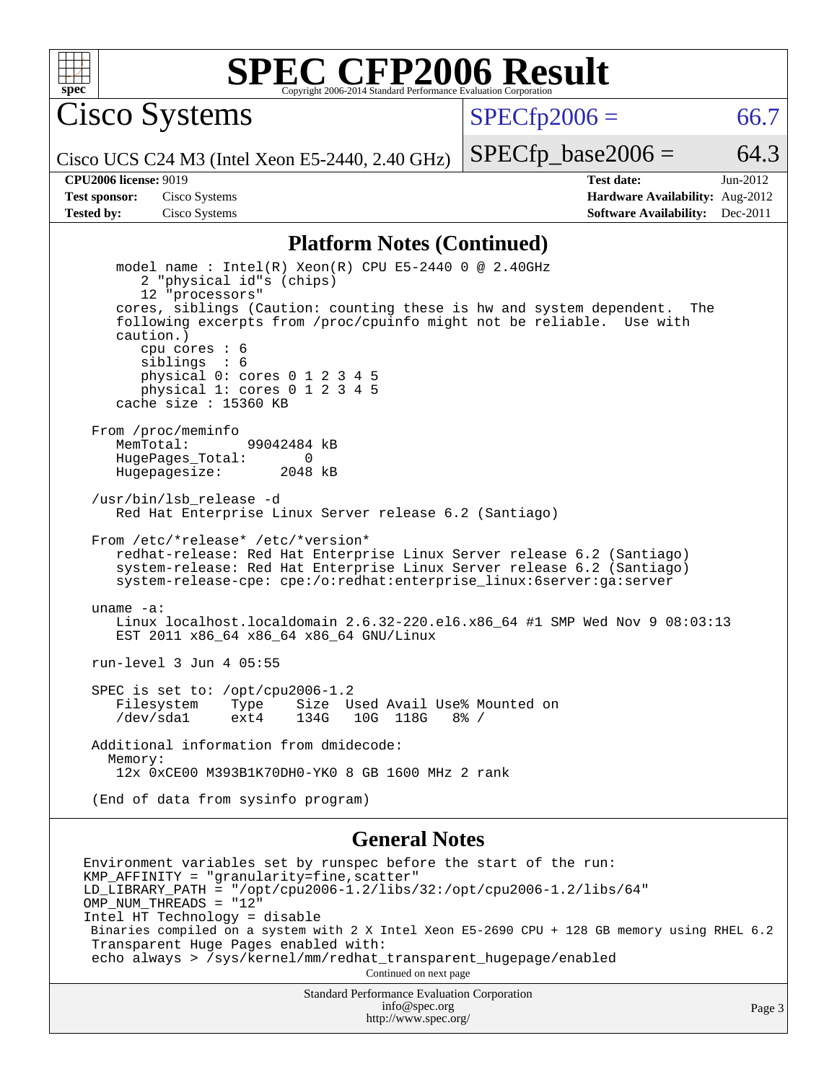

Cisco Systems

 $SPECTp2006 = 66.7$ 

Cisco UCS C24 M3 (Intel Xeon E5-2440, 2.40 GHz)

 $SPECTp\_base2006 = 64.3$ 

**[CPU2006 license:](http://www.spec.org/auto/cpu2006/Docs/result-fields.html#CPU2006license)** 9019 **[Test date:](http://www.spec.org/auto/cpu2006/Docs/result-fields.html#Testdate)** Jun-2012 **[Test sponsor:](http://www.spec.org/auto/cpu2006/Docs/result-fields.html#Testsponsor)** Cisco Systems **[Hardware Availability:](http://www.spec.org/auto/cpu2006/Docs/result-fields.html#HardwareAvailability)** Aug-2012 **[Tested by:](http://www.spec.org/auto/cpu2006/Docs/result-fields.html#Testedby)** Cisco Systems **[Software Availability:](http://www.spec.org/auto/cpu2006/Docs/result-fields.html#SoftwareAvailability)** Dec-2011

#### **[Platform Notes \(Continued\)](http://www.spec.org/auto/cpu2006/Docs/result-fields.html#PlatformNotes)**

 model name : Intel(R) Xeon(R) CPU E5-2440 0 @ 2.40GHz 2 "physical id"s (chips) 12 "processors" cores, siblings (Caution: counting these is hw and system dependent. The following excerpts from /proc/cpuinfo might not be reliable. Use with caution.) cpu cores : 6 siblings : 6 physical 0: cores 0 1 2 3 4 5 physical 1: cores 0 1 2 3 4 5 cache size : 15360 KB From /proc/meminfo MemTotal: 99042484 kB HugePages\_Total: 0<br>Hugepagesize: 2048 kB Hugepagesize: /usr/bin/lsb\_release -d Red Hat Enterprise Linux Server release 6.2 (Santiago) From /etc/\*release\* /etc/\*version\* redhat-release: Red Hat Enterprise Linux Server release 6.2 (Santiago) system-release: Red Hat Enterprise Linux Server release 6.2 (Santiago) system-release-cpe: cpe:/o:redhat:enterprise\_linux:6server:ga:server uname -a: Linux localhost.localdomain 2.6.32-220.el6.x86\_64 #1 SMP Wed Nov 9 08:03:13 EST 2011 x86\_64 x86\_64 x86\_64 GNU/Linux run-level 3 Jun 4 05:55 SPEC is set to: /opt/cpu2006-1.2 Filesystem Type Size Used Avail Use% Mounted on<br>
/dev/sdal ext4 134G 10G 118G 8% /  $/\text{dev/sdal}$  ext4 134G 10G 118G Additional information from dmidecode: Memory: 12x 0xCE00 M393B1K70DH0-YK0 8 GB 1600 MHz 2 rank (End of data from sysinfo program)

#### **[General Notes](http://www.spec.org/auto/cpu2006/Docs/result-fields.html#GeneralNotes)**

Environment variables set by runspec before the start of the run: KMP\_AFFINITY = "granularity=fine,scatter"  $LD$ \_LIBRARY\_PATH = "/opt/cpu2006-1.2/libs/32:/opt/cpu2006-1.2/libs/64" OMP\_NUM\_THREADS = "12" Intel HT Technology = disable Binaries compiled on a system with 2 X Intel Xeon E5-2690 CPU + 128 GB memory using RHEL 6.2 Transparent Huge Pages enabled with: echo always > /sys/kernel/mm/redhat\_transparent\_hugepage/enabled Continued on next page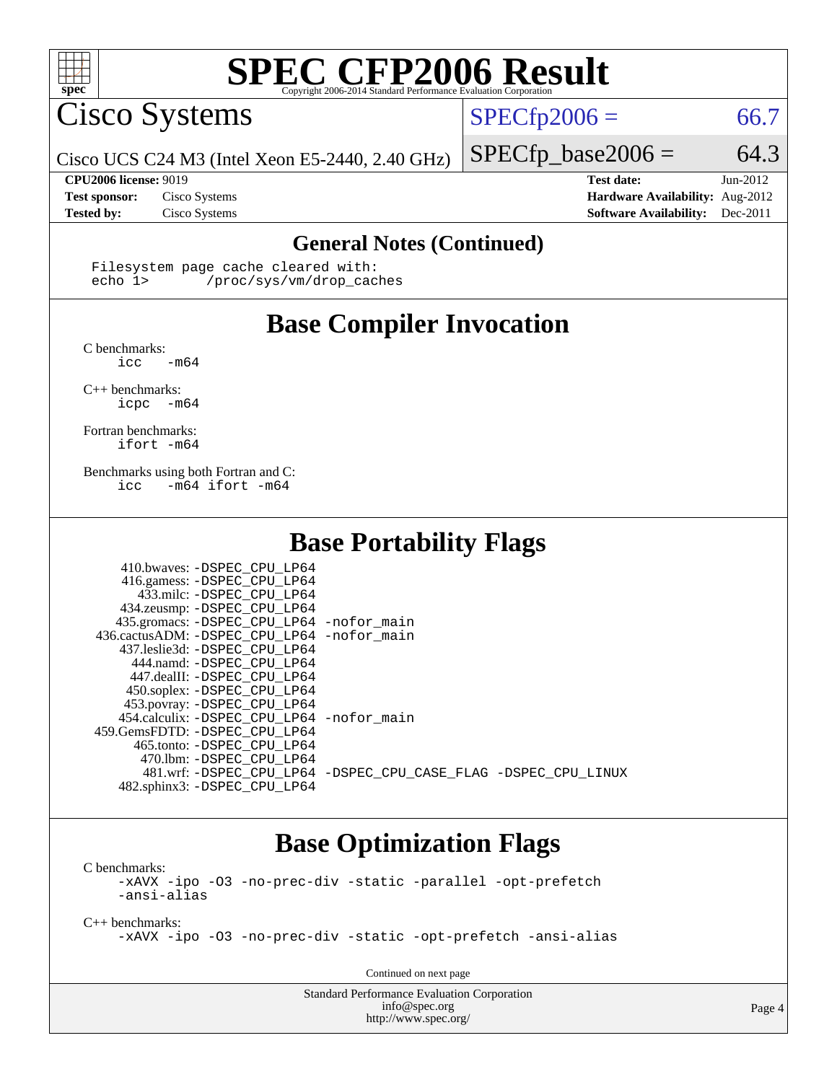

Cisco Systems

 $SPECfp2006 = 66.7$  $SPECfp2006 = 66.7$ 

Cisco UCS C24 M3 (Intel Xeon E5-2440, 2.40 GHz)

**[CPU2006 license:](http://www.spec.org/auto/cpu2006/Docs/result-fields.html#CPU2006license)** 9019 **[Test date:](http://www.spec.org/auto/cpu2006/Docs/result-fields.html#Testdate)** Jun-2012

 $SPECTp\_base2006 = 64.3$ 

**[Test sponsor:](http://www.spec.org/auto/cpu2006/Docs/result-fields.html#Testsponsor)** Cisco Systems **[Hardware Availability:](http://www.spec.org/auto/cpu2006/Docs/result-fields.html#HardwareAvailability)** Aug-2012 **[Tested by:](http://www.spec.org/auto/cpu2006/Docs/result-fields.html#Testedby)** Cisco Systems **[Software Availability:](http://www.spec.org/auto/cpu2006/Docs/result-fields.html#SoftwareAvailability)** Dec-2011

#### **[General Notes \(Continued\)](http://www.spec.org/auto/cpu2006/Docs/result-fields.html#GeneralNotes)**

Filesystem page cache cleared with:<br>echo 1> /proc/sys/ym/drop cac /proc/sys/vm/drop\_caches

## **[Base Compiler Invocation](http://www.spec.org/auto/cpu2006/Docs/result-fields.html#BaseCompilerInvocation)**

[C benchmarks](http://www.spec.org/auto/cpu2006/Docs/result-fields.html#Cbenchmarks):  $\text{icc}$  -m64

[C++ benchmarks:](http://www.spec.org/auto/cpu2006/Docs/result-fields.html#CXXbenchmarks)

[icpc -m64](http://www.spec.org/cpu2006/results/res2012q3/cpu2006-20120618-22978.flags.html#user_CXXbase_intel_icpc_64bit_bedb90c1146cab66620883ef4f41a67e)

[Fortran benchmarks](http://www.spec.org/auto/cpu2006/Docs/result-fields.html#Fortranbenchmarks): [ifort -m64](http://www.spec.org/cpu2006/results/res2012q3/cpu2006-20120618-22978.flags.html#user_FCbase_intel_ifort_64bit_ee9d0fb25645d0210d97eb0527dcc06e)

[Benchmarks using both Fortran and C](http://www.spec.org/auto/cpu2006/Docs/result-fields.html#BenchmarksusingbothFortranandC): [icc -m64](http://www.spec.org/cpu2006/results/res2012q3/cpu2006-20120618-22978.flags.html#user_CC_FCbase_intel_icc_64bit_0b7121f5ab7cfabee23d88897260401c) [ifort -m64](http://www.spec.org/cpu2006/results/res2012q3/cpu2006-20120618-22978.flags.html#user_CC_FCbase_intel_ifort_64bit_ee9d0fb25645d0210d97eb0527dcc06e)

### **[Base Portability Flags](http://www.spec.org/auto/cpu2006/Docs/result-fields.html#BasePortabilityFlags)**

| 410.bwaves: -DSPEC CPU LP64<br>416.gamess: -DSPEC_CPU_LP64<br>433.milc: -DSPEC CPU LP64<br>434.zeusmp: - DSPEC CPU LP64<br>435.gromacs: -DSPEC_CPU_LP64 -nofor_main<br>436.cactusADM: - DSPEC CPU LP64 - nofor main<br>437.leslie3d: -DSPEC CPU LP64<br>444.namd: -DSPEC CPU LP64<br>447.dealII: -DSPEC CPU LP64 |                                                                |
|------------------------------------------------------------------------------------------------------------------------------------------------------------------------------------------------------------------------------------------------------------------------------------------------------------------|----------------------------------------------------------------|
| 450.soplex: -DSPEC_CPU_LP64<br>453.povray: -DSPEC_CPU_LP64<br>454.calculix: - DSPEC CPU LP64 - nofor main<br>459. GemsFDTD: - DSPEC CPU LP64                                                                                                                                                                     |                                                                |
| 465.tonto: - DSPEC CPU LP64<br>470.1bm: - DSPEC CPU LP64<br>482.sphinx3: -DSPEC_CPU_LP64                                                                                                                                                                                                                         | 481.wrf: -DSPEC CPU_LP64 -DSPEC_CPU_CASE_FLAG -DSPEC_CPU_LINUX |

### **[Base Optimization Flags](http://www.spec.org/auto/cpu2006/Docs/result-fields.html#BaseOptimizationFlags)**

[C benchmarks](http://www.spec.org/auto/cpu2006/Docs/result-fields.html#Cbenchmarks): [-xAVX](http://www.spec.org/cpu2006/results/res2012q3/cpu2006-20120618-22978.flags.html#user_CCbase_f-xAVX) [-ipo](http://www.spec.org/cpu2006/results/res2012q3/cpu2006-20120618-22978.flags.html#user_CCbase_f-ipo) [-O3](http://www.spec.org/cpu2006/results/res2012q3/cpu2006-20120618-22978.flags.html#user_CCbase_f-O3) [-no-prec-div](http://www.spec.org/cpu2006/results/res2012q3/cpu2006-20120618-22978.flags.html#user_CCbase_f-no-prec-div) [-static](http://www.spec.org/cpu2006/results/res2012q3/cpu2006-20120618-22978.flags.html#user_CCbase_f-static) [-parallel](http://www.spec.org/cpu2006/results/res2012q3/cpu2006-20120618-22978.flags.html#user_CCbase_f-parallel) [-opt-prefetch](http://www.spec.org/cpu2006/results/res2012q3/cpu2006-20120618-22978.flags.html#user_CCbase_f-opt-prefetch) [-ansi-alias](http://www.spec.org/cpu2006/results/res2012q3/cpu2006-20120618-22978.flags.html#user_CCbase_f-ansi-alias)

[C++ benchmarks:](http://www.spec.org/auto/cpu2006/Docs/result-fields.html#CXXbenchmarks) [-xAVX](http://www.spec.org/cpu2006/results/res2012q3/cpu2006-20120618-22978.flags.html#user_CXXbase_f-xAVX) [-ipo](http://www.spec.org/cpu2006/results/res2012q3/cpu2006-20120618-22978.flags.html#user_CXXbase_f-ipo) [-O3](http://www.spec.org/cpu2006/results/res2012q3/cpu2006-20120618-22978.flags.html#user_CXXbase_f-O3) [-no-prec-div](http://www.spec.org/cpu2006/results/res2012q3/cpu2006-20120618-22978.flags.html#user_CXXbase_f-no-prec-div) [-static](http://www.spec.org/cpu2006/results/res2012q3/cpu2006-20120618-22978.flags.html#user_CXXbase_f-static) [-opt-prefetch](http://www.spec.org/cpu2006/results/res2012q3/cpu2006-20120618-22978.flags.html#user_CXXbase_f-opt-prefetch) [-ansi-alias](http://www.spec.org/cpu2006/results/res2012q3/cpu2006-20120618-22978.flags.html#user_CXXbase_f-ansi-alias)

Continued on next page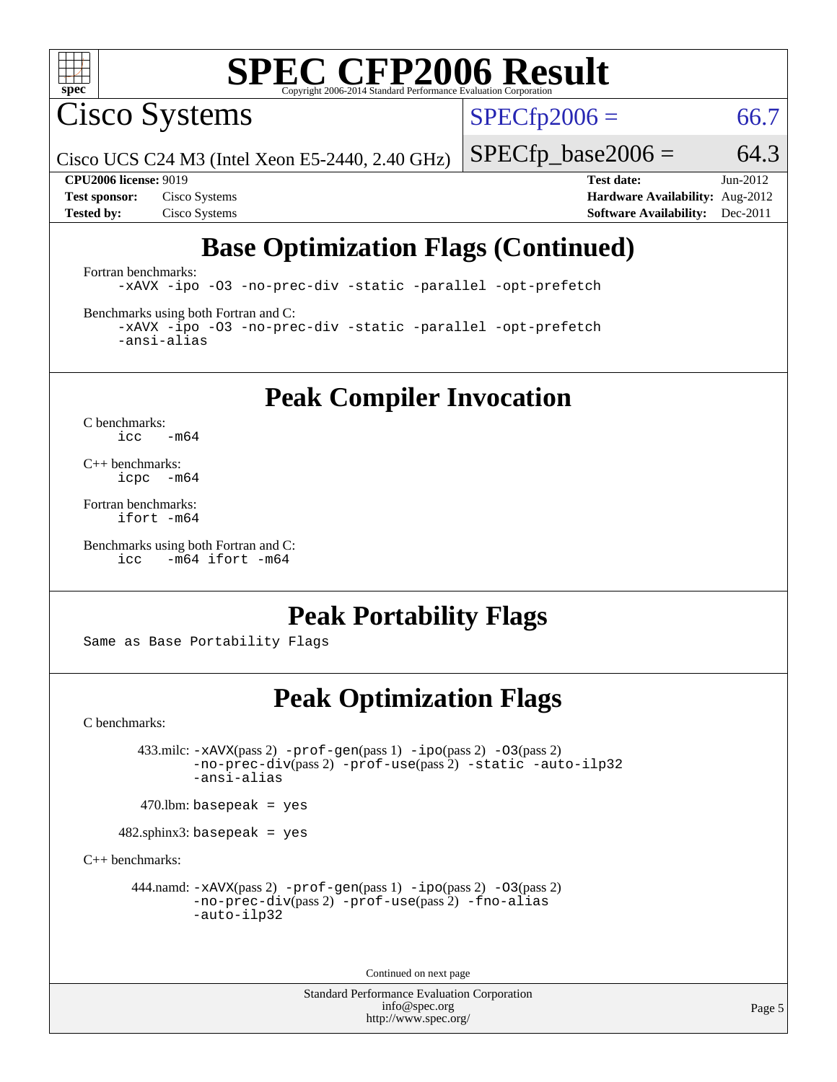

Cisco Systems

 $SPECTp2006 = 66.7$ 

Cisco UCS C24 M3 (Intel Xeon E5-2440, 2.40 GHz)

 $SPECTp\_base2006 = 64.3$ 

**[CPU2006 license:](http://www.spec.org/auto/cpu2006/Docs/result-fields.html#CPU2006license)** 9019 **[Test date:](http://www.spec.org/auto/cpu2006/Docs/result-fields.html#Testdate)** Jun-2012 **[Test sponsor:](http://www.spec.org/auto/cpu2006/Docs/result-fields.html#Testsponsor)** Cisco Systems **[Hardware Availability:](http://www.spec.org/auto/cpu2006/Docs/result-fields.html#HardwareAvailability)** Aug-2012 **[Tested by:](http://www.spec.org/auto/cpu2006/Docs/result-fields.html#Testedby)** Cisco Systems **[Software Availability:](http://www.spec.org/auto/cpu2006/Docs/result-fields.html#SoftwareAvailability)** Dec-2011

## **[Base Optimization Flags \(Continued\)](http://www.spec.org/auto/cpu2006/Docs/result-fields.html#BaseOptimizationFlags)**

[Fortran benchmarks](http://www.spec.org/auto/cpu2006/Docs/result-fields.html#Fortranbenchmarks): [-xAVX](http://www.spec.org/cpu2006/results/res2012q3/cpu2006-20120618-22978.flags.html#user_FCbase_f-xAVX) [-ipo](http://www.spec.org/cpu2006/results/res2012q3/cpu2006-20120618-22978.flags.html#user_FCbase_f-ipo) [-O3](http://www.spec.org/cpu2006/results/res2012q3/cpu2006-20120618-22978.flags.html#user_FCbase_f-O3) [-no-prec-div](http://www.spec.org/cpu2006/results/res2012q3/cpu2006-20120618-22978.flags.html#user_FCbase_f-no-prec-div) [-static](http://www.spec.org/cpu2006/results/res2012q3/cpu2006-20120618-22978.flags.html#user_FCbase_f-static) [-parallel](http://www.spec.org/cpu2006/results/res2012q3/cpu2006-20120618-22978.flags.html#user_FCbase_f-parallel) [-opt-prefetch](http://www.spec.org/cpu2006/results/res2012q3/cpu2006-20120618-22978.flags.html#user_FCbase_f-opt-prefetch)

[Benchmarks using both Fortran and C](http://www.spec.org/auto/cpu2006/Docs/result-fields.html#BenchmarksusingbothFortranandC):

[-xAVX](http://www.spec.org/cpu2006/results/res2012q3/cpu2006-20120618-22978.flags.html#user_CC_FCbase_f-xAVX) [-ipo](http://www.spec.org/cpu2006/results/res2012q3/cpu2006-20120618-22978.flags.html#user_CC_FCbase_f-ipo) [-O3](http://www.spec.org/cpu2006/results/res2012q3/cpu2006-20120618-22978.flags.html#user_CC_FCbase_f-O3) [-no-prec-div](http://www.spec.org/cpu2006/results/res2012q3/cpu2006-20120618-22978.flags.html#user_CC_FCbase_f-no-prec-div) [-static](http://www.spec.org/cpu2006/results/res2012q3/cpu2006-20120618-22978.flags.html#user_CC_FCbase_f-static) [-parallel](http://www.spec.org/cpu2006/results/res2012q3/cpu2006-20120618-22978.flags.html#user_CC_FCbase_f-parallel) [-opt-prefetch](http://www.spec.org/cpu2006/results/res2012q3/cpu2006-20120618-22978.flags.html#user_CC_FCbase_f-opt-prefetch) [-ansi-alias](http://www.spec.org/cpu2006/results/res2012q3/cpu2006-20120618-22978.flags.html#user_CC_FCbase_f-ansi-alias)

**[Peak Compiler Invocation](http://www.spec.org/auto/cpu2006/Docs/result-fields.html#PeakCompilerInvocation)**

[C benchmarks](http://www.spec.org/auto/cpu2006/Docs/result-fields.html#Cbenchmarks):  $\text{icc}$  -m64

[C++ benchmarks:](http://www.spec.org/auto/cpu2006/Docs/result-fields.html#CXXbenchmarks) [icpc -m64](http://www.spec.org/cpu2006/results/res2012q3/cpu2006-20120618-22978.flags.html#user_CXXpeak_intel_icpc_64bit_bedb90c1146cab66620883ef4f41a67e)

[Fortran benchmarks](http://www.spec.org/auto/cpu2006/Docs/result-fields.html#Fortranbenchmarks): [ifort -m64](http://www.spec.org/cpu2006/results/res2012q3/cpu2006-20120618-22978.flags.html#user_FCpeak_intel_ifort_64bit_ee9d0fb25645d0210d97eb0527dcc06e)

[Benchmarks using both Fortran and C](http://www.spec.org/auto/cpu2006/Docs/result-fields.html#BenchmarksusingbothFortranandC): [icc -m64](http://www.spec.org/cpu2006/results/res2012q3/cpu2006-20120618-22978.flags.html#user_CC_FCpeak_intel_icc_64bit_0b7121f5ab7cfabee23d88897260401c) [ifort -m64](http://www.spec.org/cpu2006/results/res2012q3/cpu2006-20120618-22978.flags.html#user_CC_FCpeak_intel_ifort_64bit_ee9d0fb25645d0210d97eb0527dcc06e)

### **[Peak Portability Flags](http://www.spec.org/auto/cpu2006/Docs/result-fields.html#PeakPortabilityFlags)**

Same as Base Portability Flags

### **[Peak Optimization Flags](http://www.spec.org/auto/cpu2006/Docs/result-fields.html#PeakOptimizationFlags)**

[C benchmarks](http://www.spec.org/auto/cpu2006/Docs/result-fields.html#Cbenchmarks):

 433.milc: [-xAVX](http://www.spec.org/cpu2006/results/res2012q3/cpu2006-20120618-22978.flags.html#user_peakPASS2_CFLAGSPASS2_LDFLAGS433_milc_f-xAVX)(pass 2) [-prof-gen](http://www.spec.org/cpu2006/results/res2012q3/cpu2006-20120618-22978.flags.html#user_peakPASS1_CFLAGSPASS1_LDFLAGS433_milc_prof_gen_e43856698f6ca7b7e442dfd80e94a8fc)(pass 1) [-ipo](http://www.spec.org/cpu2006/results/res2012q3/cpu2006-20120618-22978.flags.html#user_peakPASS2_CFLAGSPASS2_LDFLAGS433_milc_f-ipo)(pass 2) [-O3](http://www.spec.org/cpu2006/results/res2012q3/cpu2006-20120618-22978.flags.html#user_peakPASS2_CFLAGSPASS2_LDFLAGS433_milc_f-O3)(pass 2) [-no-prec-div](http://www.spec.org/cpu2006/results/res2012q3/cpu2006-20120618-22978.flags.html#user_peakPASS2_CFLAGSPASS2_LDFLAGS433_milc_f-no-prec-div)(pass 2) [-prof-use](http://www.spec.org/cpu2006/results/res2012q3/cpu2006-20120618-22978.flags.html#user_peakPASS2_CFLAGSPASS2_LDFLAGS433_milc_prof_use_bccf7792157ff70d64e32fe3e1250b55)(pass 2) [-static](http://www.spec.org/cpu2006/results/res2012q3/cpu2006-20120618-22978.flags.html#user_peakOPTIMIZE433_milc_f-static) [-auto-ilp32](http://www.spec.org/cpu2006/results/res2012q3/cpu2006-20120618-22978.flags.html#user_peakCOPTIMIZE433_milc_f-auto-ilp32) [-ansi-alias](http://www.spec.org/cpu2006/results/res2012q3/cpu2006-20120618-22978.flags.html#user_peakCOPTIMIZE433_milc_f-ansi-alias)

 $470$ .lbm: basepeak = yes

482.sphinx3: basepeak = yes

[C++ benchmarks:](http://www.spec.org/auto/cpu2006/Docs/result-fields.html#CXXbenchmarks)

444.namd:  $-x$ AVX(pass 2)  $-p$ rof-gen(pass 1)  $-p$ po(pass 2)  $-03$ (pass 2) [-no-prec-div](http://www.spec.org/cpu2006/results/res2012q3/cpu2006-20120618-22978.flags.html#user_peakPASS2_CXXFLAGSPASS2_LDFLAGS444_namd_f-no-prec-div)(pass 2) [-prof-use](http://www.spec.org/cpu2006/results/res2012q3/cpu2006-20120618-22978.flags.html#user_peakPASS2_CXXFLAGSPASS2_LDFLAGS444_namd_prof_use_bccf7792157ff70d64e32fe3e1250b55)(pass 2) [-fno-alias](http://www.spec.org/cpu2006/results/res2012q3/cpu2006-20120618-22978.flags.html#user_peakCXXOPTIMIZEOPTIMIZE444_namd_f-no-alias_694e77f6c5a51e658e82ccff53a9e63a) [-auto-ilp32](http://www.spec.org/cpu2006/results/res2012q3/cpu2006-20120618-22978.flags.html#user_peakCXXOPTIMIZE444_namd_f-auto-ilp32)

Continued on next page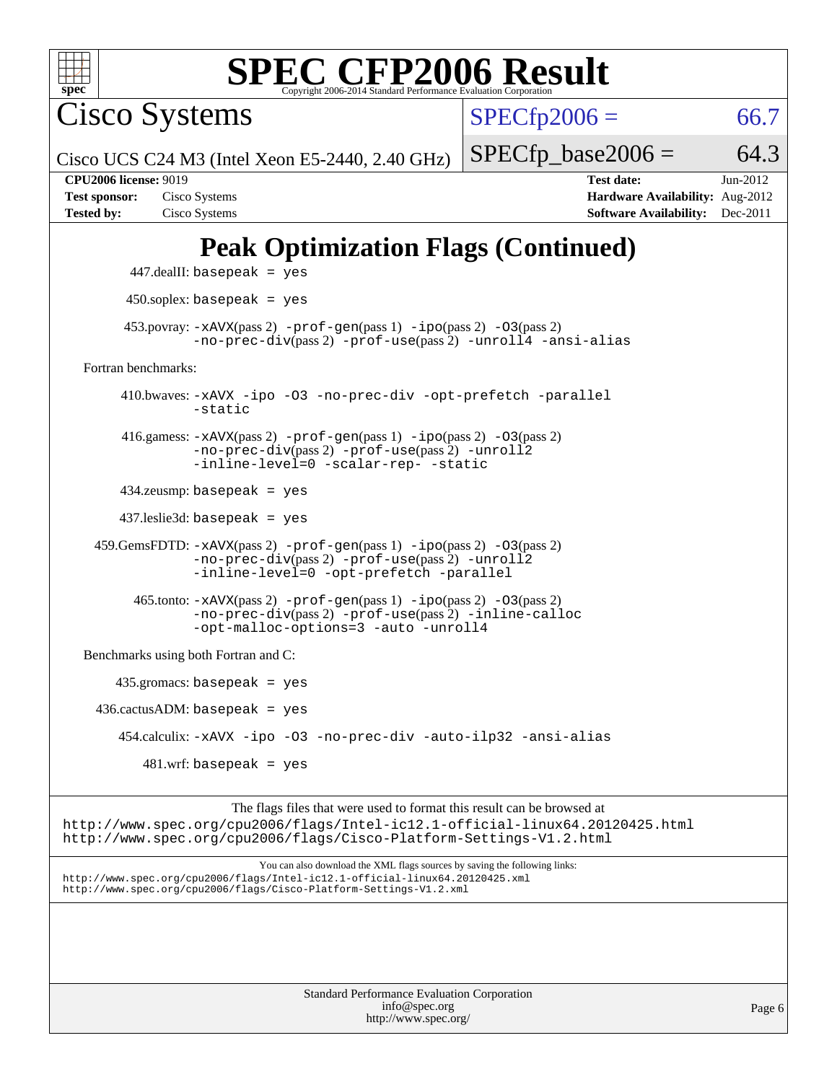

Cisco Systems

 $SPECfp2006 = 66.7$  $SPECfp2006 = 66.7$ 

Cisco UCS C24 M3 (Intel Xeon E5-2440, 2.40 GHz)

 $SPECTp\_base2006 = 64.3$ 

**[Tested by:](http://www.spec.org/auto/cpu2006/Docs/result-fields.html#Testedby)** Cisco Systems **[Software Availability:](http://www.spec.org/auto/cpu2006/Docs/result-fields.html#SoftwareAvailability)** Dec-2011

**[CPU2006 license:](http://www.spec.org/auto/cpu2006/Docs/result-fields.html#CPU2006license)** 9019 **[Test date:](http://www.spec.org/auto/cpu2006/Docs/result-fields.html#Testdate)** Jun-2012 **[Test sponsor:](http://www.spec.org/auto/cpu2006/Docs/result-fields.html#Testsponsor)** Cisco Systems **[Hardware Availability:](http://www.spec.org/auto/cpu2006/Docs/result-fields.html#HardwareAvailability)** Aug-2012

## **[Peak Optimization Flags \(Continued\)](http://www.spec.org/auto/cpu2006/Docs/result-fields.html#PeakOptimizationFlags)**

 447.dealII: basepeak = yes 450.soplex: basepeak = yes 453.povray:  $-x$ AVX(pass 2)  $-p$ rof-gen(pass 1)  $-i$ po(pass 2)  $-03$ (pass 2) [-no-prec-div](http://www.spec.org/cpu2006/results/res2012q3/cpu2006-20120618-22978.flags.html#user_peakPASS2_CXXFLAGSPASS2_LDFLAGS453_povray_f-no-prec-div)(pass 2) [-prof-use](http://www.spec.org/cpu2006/results/res2012q3/cpu2006-20120618-22978.flags.html#user_peakPASS2_CXXFLAGSPASS2_LDFLAGS453_povray_prof_use_bccf7792157ff70d64e32fe3e1250b55)(pass 2) [-unroll4](http://www.spec.org/cpu2006/results/res2012q3/cpu2006-20120618-22978.flags.html#user_peakCXXOPTIMIZE453_povray_f-unroll_4e5e4ed65b7fd20bdcd365bec371b81f) [-ansi-alias](http://www.spec.org/cpu2006/results/res2012q3/cpu2006-20120618-22978.flags.html#user_peakCXXOPTIMIZE453_povray_f-ansi-alias) [Fortran benchmarks](http://www.spec.org/auto/cpu2006/Docs/result-fields.html#Fortranbenchmarks): 410.bwaves: [-xAVX](http://www.spec.org/cpu2006/results/res2012q3/cpu2006-20120618-22978.flags.html#user_peakOPTIMIZE410_bwaves_f-xAVX) [-ipo](http://www.spec.org/cpu2006/results/res2012q3/cpu2006-20120618-22978.flags.html#user_peakOPTIMIZE410_bwaves_f-ipo) [-O3](http://www.spec.org/cpu2006/results/res2012q3/cpu2006-20120618-22978.flags.html#user_peakOPTIMIZE410_bwaves_f-O3) [-no-prec-div](http://www.spec.org/cpu2006/results/res2012q3/cpu2006-20120618-22978.flags.html#user_peakOPTIMIZE410_bwaves_f-no-prec-div) [-opt-prefetch](http://www.spec.org/cpu2006/results/res2012q3/cpu2006-20120618-22978.flags.html#user_peakOPTIMIZE410_bwaves_f-opt-prefetch) [-parallel](http://www.spec.org/cpu2006/results/res2012q3/cpu2006-20120618-22978.flags.html#user_peakOPTIMIZE410_bwaves_f-parallel) [-static](http://www.spec.org/cpu2006/results/res2012q3/cpu2006-20120618-22978.flags.html#user_peakOPTIMIZE410_bwaves_f-static) 416.gamess: [-xAVX](http://www.spec.org/cpu2006/results/res2012q3/cpu2006-20120618-22978.flags.html#user_peakPASS2_FFLAGSPASS2_LDFLAGS416_gamess_f-xAVX)(pass 2) [-prof-gen](http://www.spec.org/cpu2006/results/res2012q3/cpu2006-20120618-22978.flags.html#user_peakPASS1_FFLAGSPASS1_LDFLAGS416_gamess_prof_gen_e43856698f6ca7b7e442dfd80e94a8fc)(pass 1) [-ipo](http://www.spec.org/cpu2006/results/res2012q3/cpu2006-20120618-22978.flags.html#user_peakPASS2_FFLAGSPASS2_LDFLAGS416_gamess_f-ipo)(pass 2) [-O3](http://www.spec.org/cpu2006/results/res2012q3/cpu2006-20120618-22978.flags.html#user_peakPASS2_FFLAGSPASS2_LDFLAGS416_gamess_f-O3)(pass 2) [-no-prec-div](http://www.spec.org/cpu2006/results/res2012q3/cpu2006-20120618-22978.flags.html#user_peakPASS2_FFLAGSPASS2_LDFLAGS416_gamess_f-no-prec-div)(pass 2) [-prof-use](http://www.spec.org/cpu2006/results/res2012q3/cpu2006-20120618-22978.flags.html#user_peakPASS2_FFLAGSPASS2_LDFLAGS416_gamess_prof_use_bccf7792157ff70d64e32fe3e1250b55)(pass 2) [-unroll2](http://www.spec.org/cpu2006/results/res2012q3/cpu2006-20120618-22978.flags.html#user_peakOPTIMIZE416_gamess_f-unroll_784dae83bebfb236979b41d2422d7ec2) [-inline-level=0](http://www.spec.org/cpu2006/results/res2012q3/cpu2006-20120618-22978.flags.html#user_peakOPTIMIZE416_gamess_f-inline-level_318d07a09274ad25e8d15dbfaa68ba50) [-scalar-rep-](http://www.spec.org/cpu2006/results/res2012q3/cpu2006-20120618-22978.flags.html#user_peakOPTIMIZE416_gamess_f-disablescalarrep_abbcad04450fb118e4809c81d83c8a1d) [-static](http://www.spec.org/cpu2006/results/res2012q3/cpu2006-20120618-22978.flags.html#user_peakOPTIMIZE416_gamess_f-static) 434.zeusmp: basepeak = yes 437.leslie3d: basepeak = yes 459.GemsFDTD: [-xAVX](http://www.spec.org/cpu2006/results/res2012q3/cpu2006-20120618-22978.flags.html#user_peakPASS2_FFLAGSPASS2_LDFLAGS459_GemsFDTD_f-xAVX)(pass 2) [-prof-gen](http://www.spec.org/cpu2006/results/res2012q3/cpu2006-20120618-22978.flags.html#user_peakPASS1_FFLAGSPASS1_LDFLAGS459_GemsFDTD_prof_gen_e43856698f6ca7b7e442dfd80e94a8fc)(pass 1) [-ipo](http://www.spec.org/cpu2006/results/res2012q3/cpu2006-20120618-22978.flags.html#user_peakPASS2_FFLAGSPASS2_LDFLAGS459_GemsFDTD_f-ipo)(pass 2) [-O3](http://www.spec.org/cpu2006/results/res2012q3/cpu2006-20120618-22978.flags.html#user_peakPASS2_FFLAGSPASS2_LDFLAGS459_GemsFDTD_f-O3)(pass 2) [-no-prec-div](http://www.spec.org/cpu2006/results/res2012q3/cpu2006-20120618-22978.flags.html#user_peakPASS2_FFLAGSPASS2_LDFLAGS459_GemsFDTD_f-no-prec-div)(pass 2) [-prof-use](http://www.spec.org/cpu2006/results/res2012q3/cpu2006-20120618-22978.flags.html#user_peakPASS2_FFLAGSPASS2_LDFLAGS459_GemsFDTD_prof_use_bccf7792157ff70d64e32fe3e1250b55)(pass 2) [-unroll2](http://www.spec.org/cpu2006/results/res2012q3/cpu2006-20120618-22978.flags.html#user_peakOPTIMIZE459_GemsFDTD_f-unroll_784dae83bebfb236979b41d2422d7ec2) [-inline-level=0](http://www.spec.org/cpu2006/results/res2012q3/cpu2006-20120618-22978.flags.html#user_peakOPTIMIZE459_GemsFDTD_f-inline-level_318d07a09274ad25e8d15dbfaa68ba50) [-opt-prefetch](http://www.spec.org/cpu2006/results/res2012q3/cpu2006-20120618-22978.flags.html#user_peakOPTIMIZE459_GemsFDTD_f-opt-prefetch) [-parallel](http://www.spec.org/cpu2006/results/res2012q3/cpu2006-20120618-22978.flags.html#user_peakOPTIMIZE459_GemsFDTD_f-parallel)  $465$ .tonto:  $-x$ AVX(pass 2)  $-p$ rof-gen(pass 1)  $-p$ o(pass 2)  $-03$ (pass 2) [-no-prec-div](http://www.spec.org/cpu2006/results/res2012q3/cpu2006-20120618-22978.flags.html#user_peakPASS2_FFLAGSPASS2_LDFLAGS465_tonto_f-no-prec-div)(pass 2) [-prof-use](http://www.spec.org/cpu2006/results/res2012q3/cpu2006-20120618-22978.flags.html#user_peakPASS2_FFLAGSPASS2_LDFLAGS465_tonto_prof_use_bccf7792157ff70d64e32fe3e1250b55)(pass 2) [-inline-calloc](http://www.spec.org/cpu2006/results/res2012q3/cpu2006-20120618-22978.flags.html#user_peakOPTIMIZE465_tonto_f-inline-calloc) [-opt-malloc-options=3](http://www.spec.org/cpu2006/results/res2012q3/cpu2006-20120618-22978.flags.html#user_peakOPTIMIZE465_tonto_f-opt-malloc-options_13ab9b803cf986b4ee62f0a5998c2238) [-auto](http://www.spec.org/cpu2006/results/res2012q3/cpu2006-20120618-22978.flags.html#user_peakOPTIMIZE465_tonto_f-auto) [-unroll4](http://www.spec.org/cpu2006/results/res2012q3/cpu2006-20120618-22978.flags.html#user_peakOPTIMIZE465_tonto_f-unroll_4e5e4ed65b7fd20bdcd365bec371b81f) [Benchmarks using both Fortran and C](http://www.spec.org/auto/cpu2006/Docs/result-fields.html#BenchmarksusingbothFortranandC): 435.gromacs: basepeak = yes  $436.cactusADM: basepeak = yes$  454.calculix: [-xAVX](http://www.spec.org/cpu2006/results/res2012q3/cpu2006-20120618-22978.flags.html#user_peakOPTIMIZE454_calculix_f-xAVX) [-ipo](http://www.spec.org/cpu2006/results/res2012q3/cpu2006-20120618-22978.flags.html#user_peakOPTIMIZE454_calculix_f-ipo) [-O3](http://www.spec.org/cpu2006/results/res2012q3/cpu2006-20120618-22978.flags.html#user_peakOPTIMIZE454_calculix_f-O3) [-no-prec-div](http://www.spec.org/cpu2006/results/res2012q3/cpu2006-20120618-22978.flags.html#user_peakOPTIMIZE454_calculix_f-no-prec-div) [-auto-ilp32](http://www.spec.org/cpu2006/results/res2012q3/cpu2006-20120618-22978.flags.html#user_peakCOPTIMIZE454_calculix_f-auto-ilp32) [-ansi-alias](http://www.spec.org/cpu2006/results/res2012q3/cpu2006-20120618-22978.flags.html#user_peakCOPTIMIZE454_calculix_f-ansi-alias)  $481$ .wrf: basepeak = yes The flags files that were used to format this result can be browsed at

<http://www.spec.org/cpu2006/flags/Intel-ic12.1-official-linux64.20120425.html> <http://www.spec.org/cpu2006/flags/Cisco-Platform-Settings-V1.2.html>

You can also download the XML flags sources by saving the following links: <http://www.spec.org/cpu2006/flags/Intel-ic12.1-official-linux64.20120425.xml> <http://www.spec.org/cpu2006/flags/Cisco-Platform-Settings-V1.2.xml>